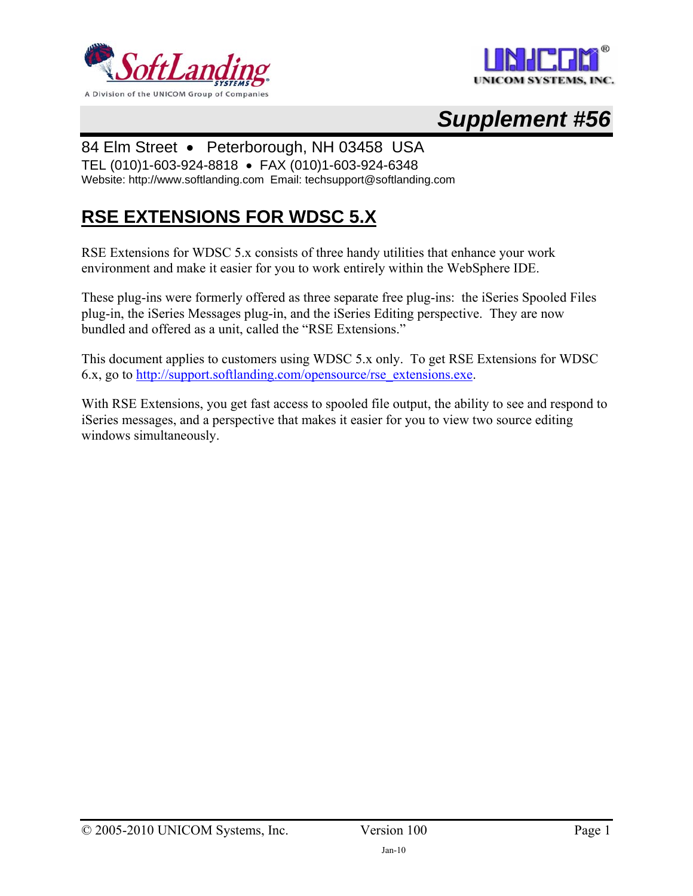



# *Supplement #56*

### 84 Elm Street • Peterborough, NH 03458 USA

TEL (010)1-603-924-8818 • FAX (010)1-603-924-6348

Website: http://www.softlanding.com Email: techsupport@softlanding.com

## **RSE EXTENSIONS FOR WDSC 5.X**

RSE Extensions for WDSC 5.x consists of three handy utilities that enhance your work environment and make it easier for you to work entirely within the WebSphere IDE.

These plug-ins were formerly offered as three separate free plug-ins: the iSeries Spooled Files plug-in, the iSeries Messages plug-in, and the iSeries Editing perspective. They are now bundled and offered as a unit, called the "RSE Extensions."

This document applies to customers using WDSC 5.x only. To get RSE Extensions for WDSC 6.x, go to [http://support.softlanding.com/opensource/rse\\_extensions.exe.](http://support.softlanding.com/opensource/rse_extensions.exe)

With RSE Extensions, you get fast access to spooled file output, the ability to see and respond to iSeries messages, and a perspective that makes it easier for you to view two source editing windows simultaneously.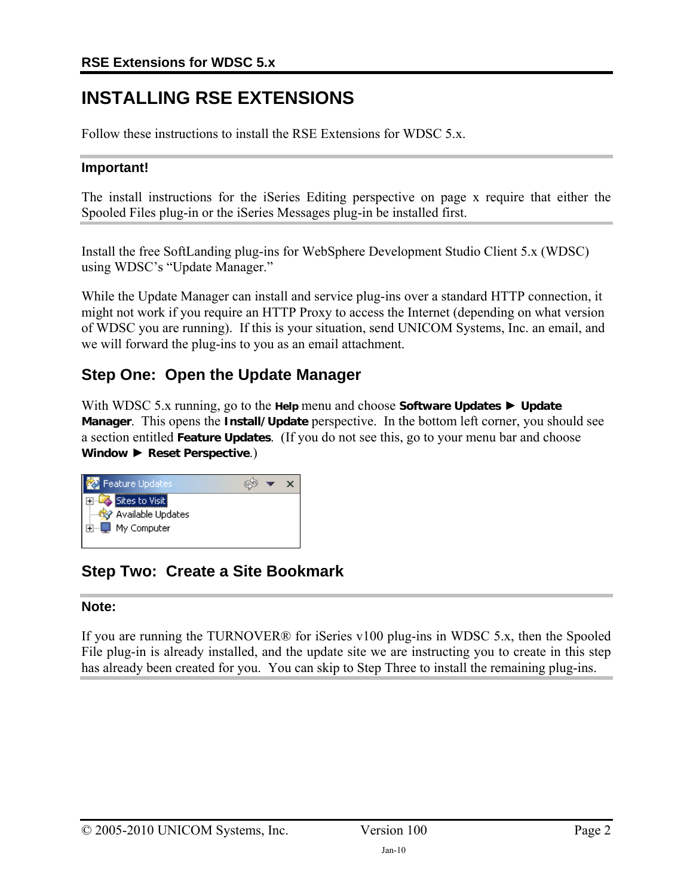## **INSTALLING RSE EXTENSIONS**

Follow these instructions to install the RSE Extensions for WDSC 5.x.

#### **Important!**

The install instructions for the iSeries Editing perspective on page x require that either the Spooled Files plug-in or the iSeries Messages plug-in be installed first.

Install the free SoftLanding plug-ins for WebSphere Development Studio Client 5.x (WDSC) using WDSC's "Update Manager."

While the Update Manager can install and service plug-ins over a standard HTTP connection, it might not work if you require an HTTP Proxy to access the Internet (depending on what version of WDSC you are running). If this is your situation, send UNICOM Systems, Inc. an email, and we will forward the plug-ins to you as an email attachment.

## **Step One: Open the Update Manager**

With WDSC 5.x running, go to the **Help** menu and choose **Software Updates** ► **Update Manager**. This opens the **Install/Update** perspective. In the bottom left corner, you should see a section entitled **Feature Updates**. (If you do not see this, go to your menu bar and choose **Window** ► **Reset Perspective**.)



## **Step Two: Create a Site Bookmark**

#### **Note:**

If you are running the TURNOVER® for iSeries v100 plug-ins in WDSC 5.x, then the Spooled File plug-in is already installed, and the update site we are instructing you to create in this step has already been created for you. You can skip to Step Three to install the remaining plug-ins.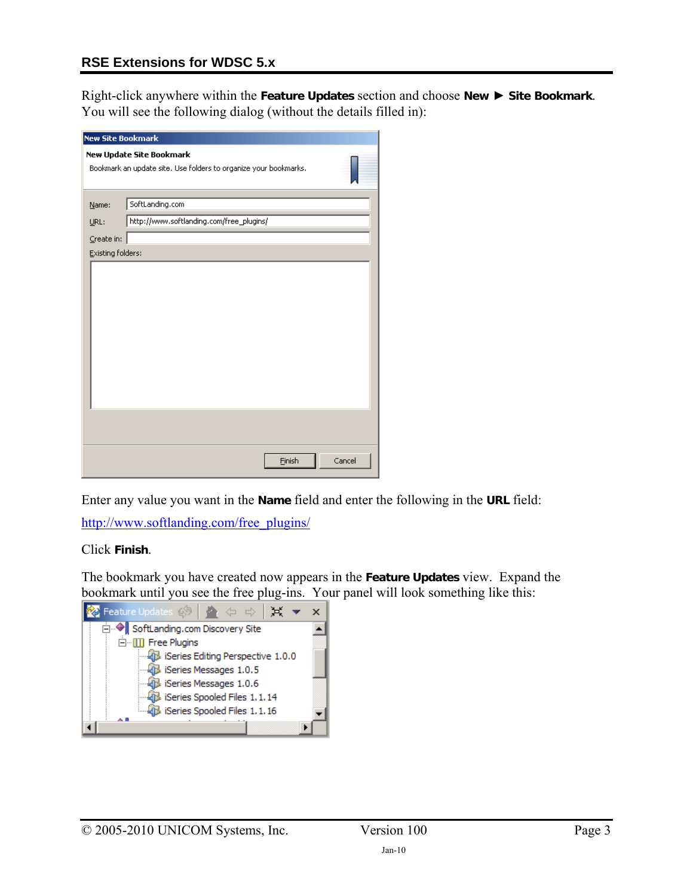#### **RSE Extensions for WDSC 5.x**

Right-click anywhere within the **Feature Updates** section and choose **New** ► **Site Bookmark**. You will see the following dialog (without the details filled in):

| <b>New Site Bookmark</b> |                                                                  |        |
|--------------------------|------------------------------------------------------------------|--------|
|                          | New Update Site Bookmark                                         |        |
|                          | Bookmark an update site. Use folders to organize your bookmarks. |        |
|                          |                                                                  |        |
| Name:                    | SoftLanding.com                                                  |        |
| URL:                     | http://www.softlanding.com/free_plugins/                         |        |
| Create in:               |                                                                  |        |
| <b>Existing folders:</b> |                                                                  |        |
|                          |                                                                  |        |
|                          |                                                                  |        |
|                          |                                                                  |        |
|                          |                                                                  |        |
|                          |                                                                  |        |
|                          |                                                                  |        |
|                          |                                                                  |        |
|                          |                                                                  |        |
|                          |                                                                  |        |
|                          |                                                                  |        |
|                          |                                                                  |        |
|                          |                                                                  |        |
|                          |                                                                  | Cancel |
|                          | Einish                                                           |        |

Enter any value you want in the **Name** field and enter the following in the **URL** field:

[http://www.softlanding.com/free\\_plugins/](http://www.softlanding.com/free_plugins/)

Click **Finish**.

The bookmark you have created now appears in the **Feature Updates** view. Expand the bookmark until you see the free plug-ins. Your panel will look something like this:

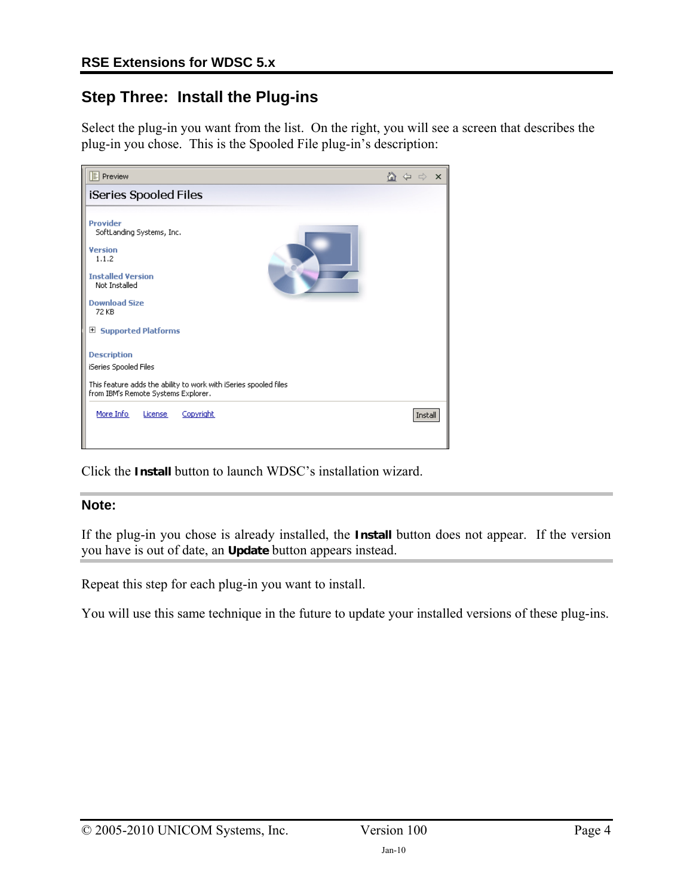### **Step Three: Install the Plug-ins**

Select the plug-in you want from the list. On the right, you will see a screen that describes the plug-in you chose. This is the Spooled File plug-in's description:

| <b>E</b> Preview                                                                                                                                       | ⋒<br>$\times$<br>⇔ |
|--------------------------------------------------------------------------------------------------------------------------------------------------------|--------------------|
| iSeries Spooled Files                                                                                                                                  |                    |
| Provider<br>SoftLanding Systems, Inc.<br><b>Version</b><br>1.1.2<br><b>Installed Version</b><br>Not Installed                                          |                    |
| <b>Download Size</b><br>72 KB                                                                                                                          |                    |
| ⊞<br><b>Supported Platforms</b>                                                                                                                        |                    |
| <b>Description</b><br>iSeries Spooled Files<br>This feature adds the ability to work with iSeries spooled files<br>from IBM's Remote Systems Explorer. |                    |
| More Info<br>Copyright<br>License                                                                                                                      | Install            |

Click the **Install** button to launch WDSC's installation wizard.

#### **Note:**

If the plug-in you chose is already installed, the **Install** button does not appear. If the version you have is out of date, an **Update** button appears instead.

Repeat this step for each plug-in you want to install.

You will use this same technique in the future to update your installed versions of these plug-ins.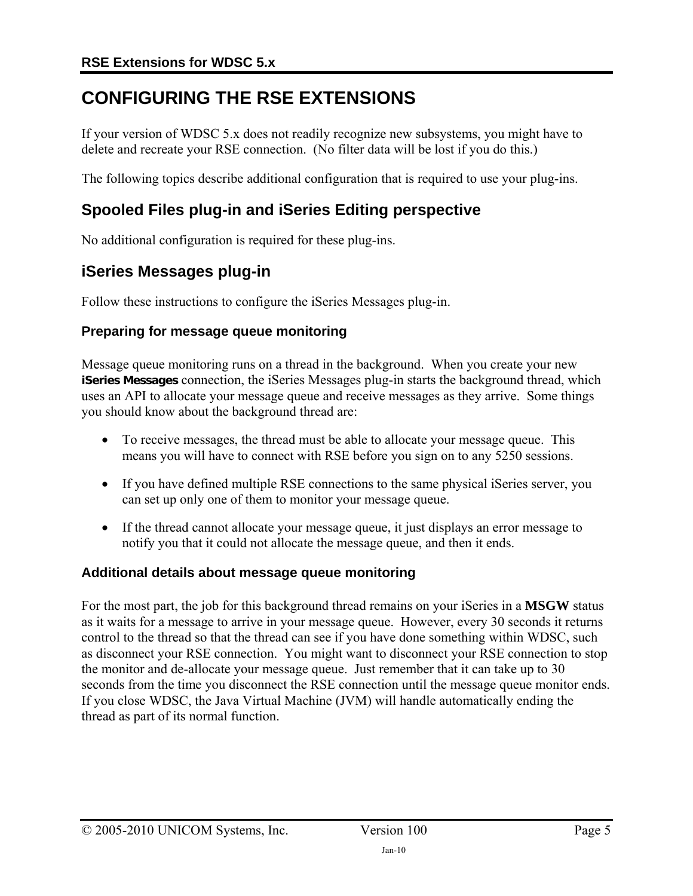## <span id="page-4-0"></span>**CONFIGURING THE RSE EXTENSIONS**

If your version of WDSC 5.x does not readily recognize new subsystems, you might have to delete and recreate your RSE connection. (No filter data will be lost if you do this.)

The following topics describe additional configuration that is required to use your plug-ins.

### **Spooled Files plug-in and iSeries Editing perspective**

No additional configuration is required for these plug-ins.

### **iSeries Messages plug-in**

Follow these instructions to configure the iSeries Messages plug-in.

#### **Preparing for message queue monitoring**

Message queue monitoring runs on a thread in the background. When you create your new **iSeries Messages** connection, the iSeries Messages plug-in starts the background thread, which uses an API to allocate your message queue and receive messages as they arrive. Some things you should know about the background thread are:

- To receive messages, the thread must be able to allocate your message queue. This means you will have to connect with RSE before you sign on to any 5250 sessions.
- If you have defined multiple RSE connections to the same physical iSeries server, you can set up only one of them to monitor your message queue.
- If the thread cannot allocate your message queue, it just displays an error message to notify you that it could not allocate the message queue, and then it ends.

#### **Additional details about message queue monitoring**

For the most part, the job for this background thread remains on your iSeries in a **MSGW** status as it waits for a message to arrive in your message queue. However, every 30 seconds it returns control to the thread so that the thread can see if you have done something within WDSC, such as disconnect your RSE connection. You might want to disconnect your RSE connection to stop the monitor and de-allocate your message queue. Just remember that it can take up to 30 seconds from the time you disconnect the RSE connection until the message queue monitor ends. If you close WDSC, the Java Virtual Machine (JVM) will handle automatically ending the thread as part of its normal function.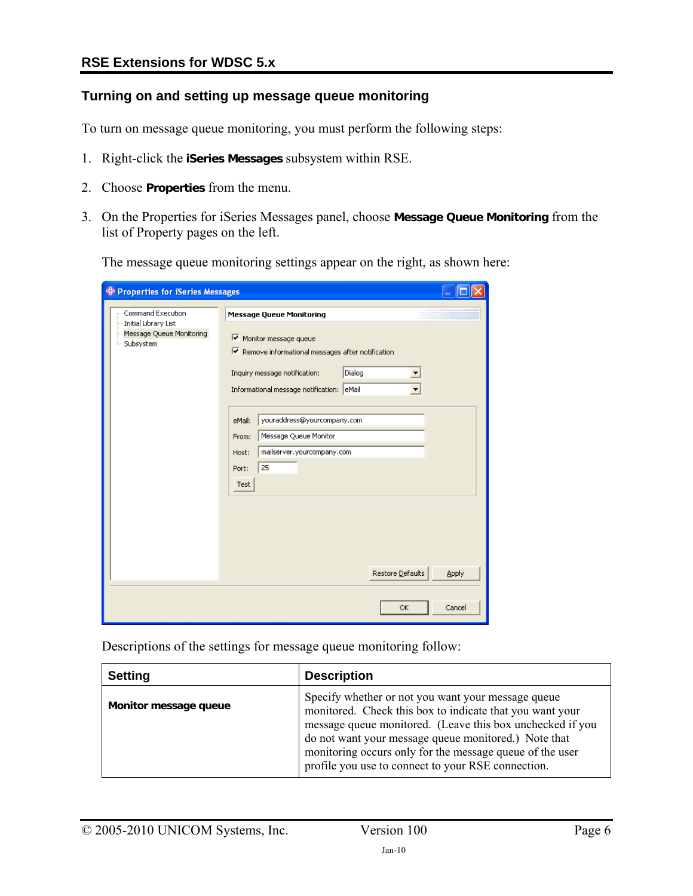### **Turning on and setting up message queue monitoring**

To turn on message queue monitoring, you must perform the following steps:

- 1. Right-click the **iSeries Messages** subsystem within RSE.
- 2. Choose **Properties** from the menu.
- 3. On the Properties for iSeries Messages panel, choose **Message Queue Monitoring** from the list of Property pages on the left.

The message queue monitoring settings appear on the right, as shown here:

| <b>+ Properties for iSeries Messages</b>                      |                                                                                                                                                                     |
|---------------------------------------------------------------|---------------------------------------------------------------------------------------------------------------------------------------------------------------------|
| Command Execution                                             | <b>Message Queue Monitoring</b>                                                                                                                                     |
| Initial Library List<br>Message Queue Monitoring<br>Subsystem | Monitor message queue<br>Ⅳ Remove informational messages after notification<br>Dialog<br>Inquiry message notification:<br>Informational message notification: eMail |
|                                                               | youraddress@yourcompany.com<br>eMail:<br>Message Queue Monitor<br>From:<br>mailserver.yourcompany.com<br>Host:<br>25<br>Port:<br>Test                               |
|                                                               | Restore Defaults<br>Apply                                                                                                                                           |
|                                                               | Cancel<br><b>OK</b>                                                                                                                                                 |

Descriptions of the settings for message queue monitoring follow:

| <b>Setting</b>        | <b>Description</b>                                                                                                                                                                                                                                                                                                                                    |
|-----------------------|-------------------------------------------------------------------------------------------------------------------------------------------------------------------------------------------------------------------------------------------------------------------------------------------------------------------------------------------------------|
| Monitor message queue | Specify whether or not you want your message queue<br>monitored. Check this box to indicate that you want your<br>message queue monitored. (Leave this box unchecked if you<br>do not want your message queue monitored.) Note that<br>monitoring occurs only for the message queue of the user<br>profile you use to connect to your RSE connection. |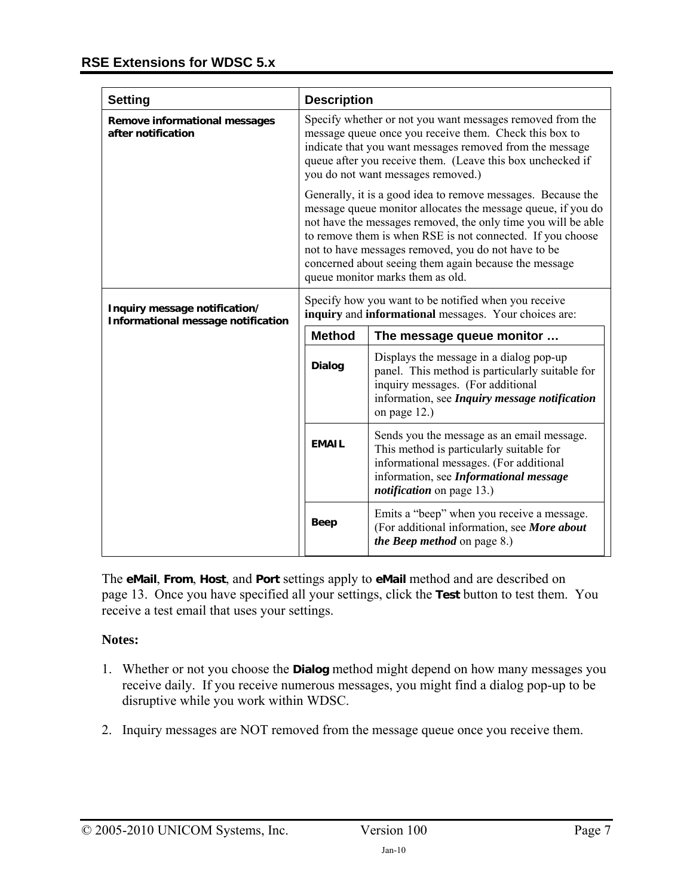| <b>Setting</b>                                                      | <b>Description</b>                                                                                                                                                                                                                                                                                                                                                                                              |                                                                                                                                                                                                                 |
|---------------------------------------------------------------------|-----------------------------------------------------------------------------------------------------------------------------------------------------------------------------------------------------------------------------------------------------------------------------------------------------------------------------------------------------------------------------------------------------------------|-----------------------------------------------------------------------------------------------------------------------------------------------------------------------------------------------------------------|
| Remove informational messages<br>after notification                 | Specify whether or not you want messages removed from the<br>message queue once you receive them. Check this box to<br>indicate that you want messages removed from the message<br>queue after you receive them. (Leave this box unchecked if<br>you do not want messages removed.)                                                                                                                             |                                                                                                                                                                                                                 |
|                                                                     | Generally, it is a good idea to remove messages. Because the<br>message queue monitor allocates the message queue, if you do<br>not have the messages removed, the only time you will be able<br>to remove them is when RSE is not connected. If you choose<br>not to have messages removed, you do not have to be<br>concerned about seeing them again because the message<br>queue monitor marks them as old. |                                                                                                                                                                                                                 |
| Inquiry message notification/<br>Informational message notification | Specify how you want to be notified when you receive<br>inquiry and informational messages. Your choices are:                                                                                                                                                                                                                                                                                                   |                                                                                                                                                                                                                 |
|                                                                     | <b>Method</b>                                                                                                                                                                                                                                                                                                                                                                                                   | The message queue monitor                                                                                                                                                                                       |
|                                                                     | <b>Dialog</b>                                                                                                                                                                                                                                                                                                                                                                                                   | Displays the message in a dialog pop-up<br>panel. This method is particularly suitable for<br>inquiry messages. (For additional<br>information, see Inquiry message notification<br>on page 12.)                |
|                                                                     | <b>EMAIL</b>                                                                                                                                                                                                                                                                                                                                                                                                    | Sends you the message as an email message.<br>This method is particularly suitable for<br>informational messages. (For additional<br>information, see Informational message<br><i>notification</i> on page 13.) |
|                                                                     | <b>Beep</b>                                                                                                                                                                                                                                                                                                                                                                                                     | Emits a "beep" when you receive a message.<br>(For additional information, see More about<br><i>the Beep method</i> on page 8.)                                                                                 |

The **eMail**, **From**, **Host**, and **Port** settings apply to **eMail** method and are described on page [13.](#page-12-0) Once you have specified all your settings, click the **Test** button to test them. You receive a test email that uses your settings.

#### **Notes:**

- 1. Whether or not you choose the **Dialog** method might depend on how many messages you receive daily. If you receive numerous messages, you might find a dialog pop-up to be disruptive while you work within WDSC.
- 2. Inquiry messages are NOT removed from the message queue once you receive them.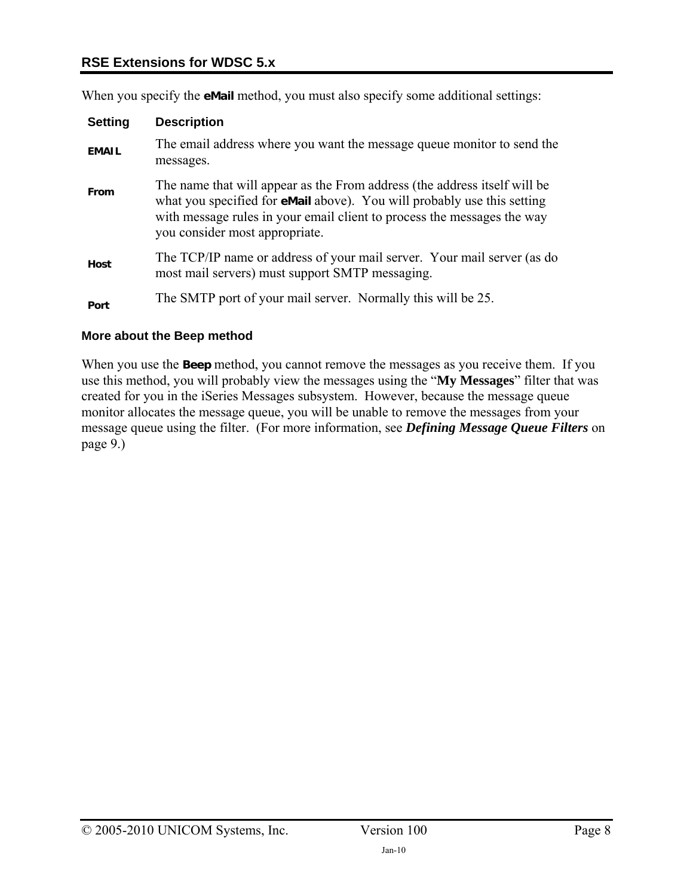#### **RSE Extensions for WDSC 5.x**

When you specify the **eMail** method, you must also specify some additional settings:

| <b>Setting</b> | <b>Description</b>                                                                                                                                                                                                                                                       |
|----------------|--------------------------------------------------------------------------------------------------------------------------------------------------------------------------------------------------------------------------------------------------------------------------|
| <b>EMAIL</b>   | The email address where you want the message queue monitor to send the<br>messages.                                                                                                                                                                                      |
| From           | The name that will appear as the From address (the address itself will be<br>what you specified for <b>eMail</b> above). You will probably use this setting<br>with message rules in your email client to process the messages the way<br>you consider most appropriate. |
| Host           | The TCP/IP name or address of your mail server. Your mail server (as do<br>most mail servers) must support SMTP messaging.                                                                                                                                               |
| Port           | The SMTP port of your mail server. Normally this will be 25.                                                                                                                                                                                                             |

#### <span id="page-7-0"></span>**More about the Beep method**

When you use the **Beep** method, you cannot remove the messages as you receive them. If you use this method, you will probably view the messages using the "**My Messages**" filter that was created for you in the iSeries Messages subsystem. However, because the message queue monitor allocates the message queue, you will be unable to remove the messages from your message queue using the filter. (For more information, see *[Defining Message Queue Filters](#page-8-0)* on page [9.](#page-8-0))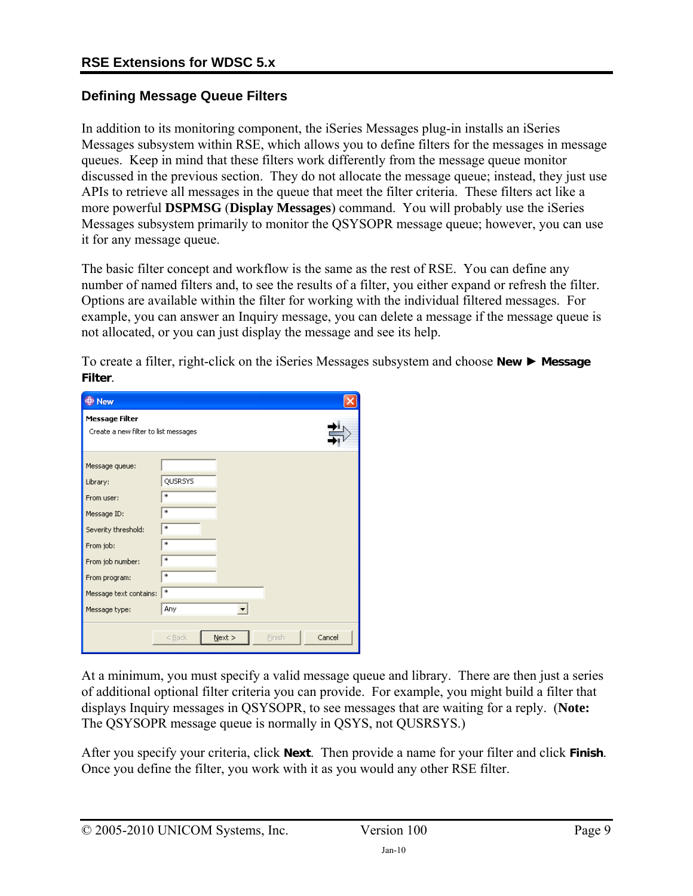#### <span id="page-8-0"></span>**Defining Message Queue Filters**

In addition to its monitoring component, the iSeries Messages plug-in installs an iSeries Messages subsystem within RSE, which allows you to define filters for the messages in message queues. Keep in mind that these filters work differently from the message queue monitor discussed in the previous section. They do not allocate the message queue; instead, they just use APIs to retrieve all messages in the queue that meet the filter criteria. These filters act like a more powerful **DSPMSG** (**Display Messages**) command. You will probably use the iSeries Messages subsystem primarily to monitor the QSYSOPR message queue; however, you can use it for any message queue.

The basic filter concept and workflow is the same as the rest of RSE. You can define any number of named filters and, to see the results of a filter, you either expand or refresh the filter. Options are available within the filter for working with the individual filtered messages. For example, you can answer an Inquiry message, you can delete a message if the message queue is not allocated, or you can just display the message and see its help.

To create a filter, right-click on the iSeries Messages subsystem and choose **New** ► **Message Filter**.

| New                                                    |                                           |
|--------------------------------------------------------|-------------------------------------------|
| Message Filter<br>Create a new filter to list messages |                                           |
| Message queue:<br>Library:<br>From user:               | QUSRSYS<br>$\ast$                         |
| Message ID:<br>Severity threshold:                     | *<br>$\ast$<br>$\ast$                     |
| From job:<br>From job number:<br>From program:         | *<br>$\ast$                               |
| Message text contains:<br>Message type:                | *<br>Any                                  |
|                                                        | Cancel<br>$N$ ext ><br>$<$ Back<br>Finish |

At a minimum, you must specify a valid message queue and library. There are then just a series of additional optional filter criteria you can provide. For example, you might build a filter that displays Inquiry messages in QSYSOPR, to see messages that are waiting for a reply. (**Note:** The QSYSOPR message queue is normally in QSYS, not QUSRSYS.)

After you specify your criteria, click **Next**. Then provide a name for your filter and click **Finish**. Once you define the filter, you work with it as you would any other RSE filter.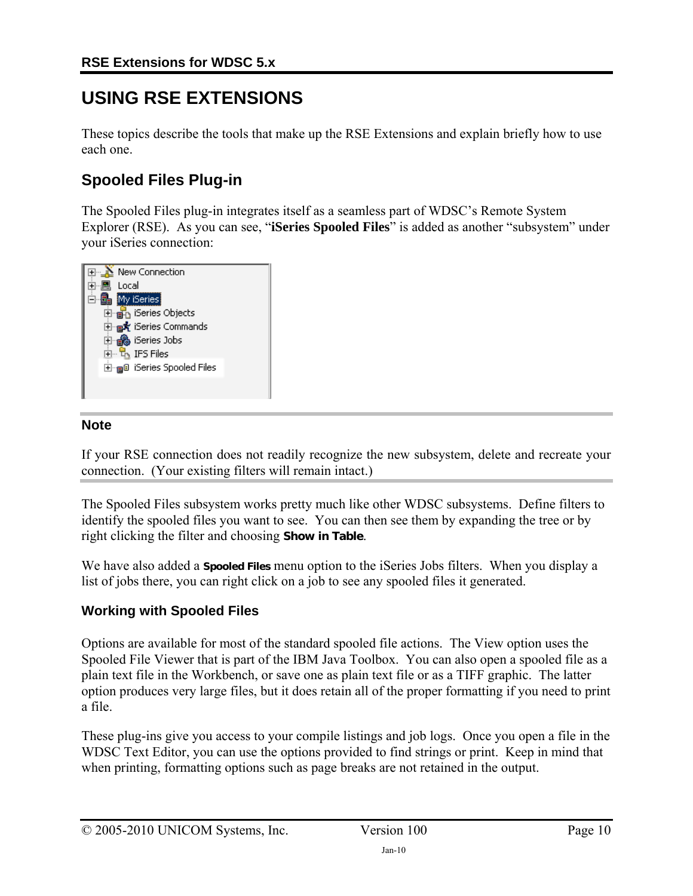## **USING RSE EXTENSIONS**

These topics describe the tools that make up the RSE Extensions and explain briefly how to use each one.

## **Spooled Files Plug-in**

The Spooled Files plug-in integrates itself as a seamless part of WDSC's Remote System Explorer (RSE). As you can see, "**iSeries Spooled Files**" is added as another "subsystem" under your iSeries connection:



#### **Note**

If your RSE connection does not readily recognize the new subsystem, delete and recreate your connection. (Your existing filters will remain intact.)

The Spooled Files subsystem works pretty much like other WDSC subsystems. Define filters to identify the spooled files you want to see. You can then see them by expanding the tree or by right clicking the filter and choosing **Show in Table**.

We have also added a **Spooled Files** menu option to the iSeries Jobs filters. When you display a list of jobs there, you can right click on a job to see any spooled files it generated.

#### **Working with Spooled Files**

Options are available for most of the standard spooled file actions. The View option uses the Spooled File Viewer that is part of the IBM Java Toolbox. You can also open a spooled file as a plain text file in the Workbench, or save one as plain text file or as a TIFF graphic. The latter option produces very large files, but it does retain all of the proper formatting if you need to print a file.

These plug-ins give you access to your compile listings and job logs. Once you open a file in the WDSC Text Editor, you can use the options provided to find strings or print. Keep in mind that when printing, formatting options such as page breaks are not retained in the output.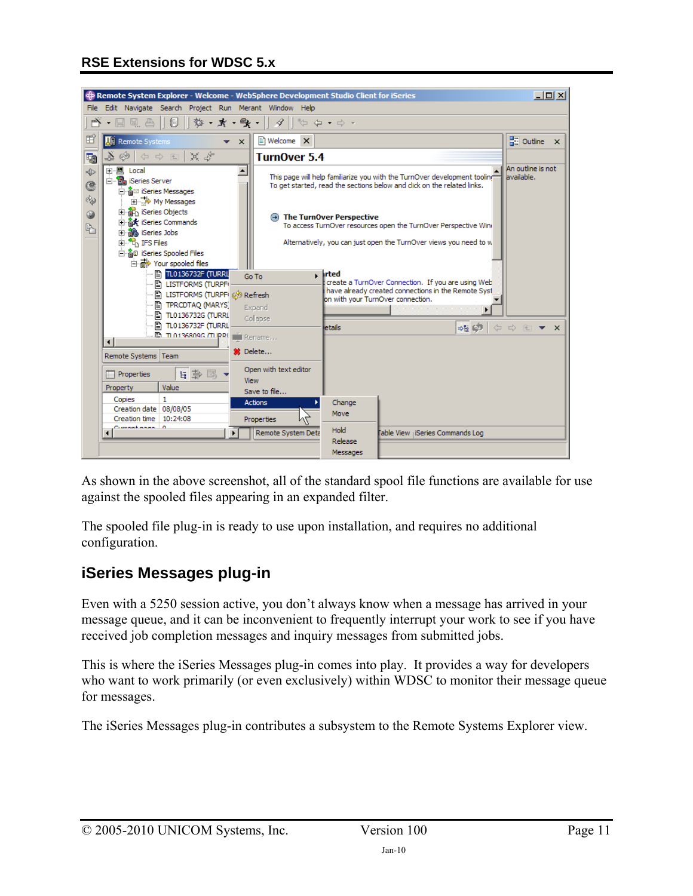

As shown in the above screenshot, all of the standard spool file functions are available for use against the spooled files appearing in an expanded filter.

The spooled file plug-in is ready to use upon installation, and requires no additional configuration.

## **iSeries Messages plug-in**

Even with a 5250 session active, you don't always know when a message has arrived in your message queue, and it can be inconvenient to frequently interrupt your work to see if you have received job completion messages and inquiry messages from submitted jobs.

This is where the iSeries Messages plug-in comes into play. It provides a way for developers who want to work primarily (or even exclusively) within WDSC to monitor their message queue for messages.

The iSeries Messages plug-in contributes a subsystem to the Remote Systems Explorer view.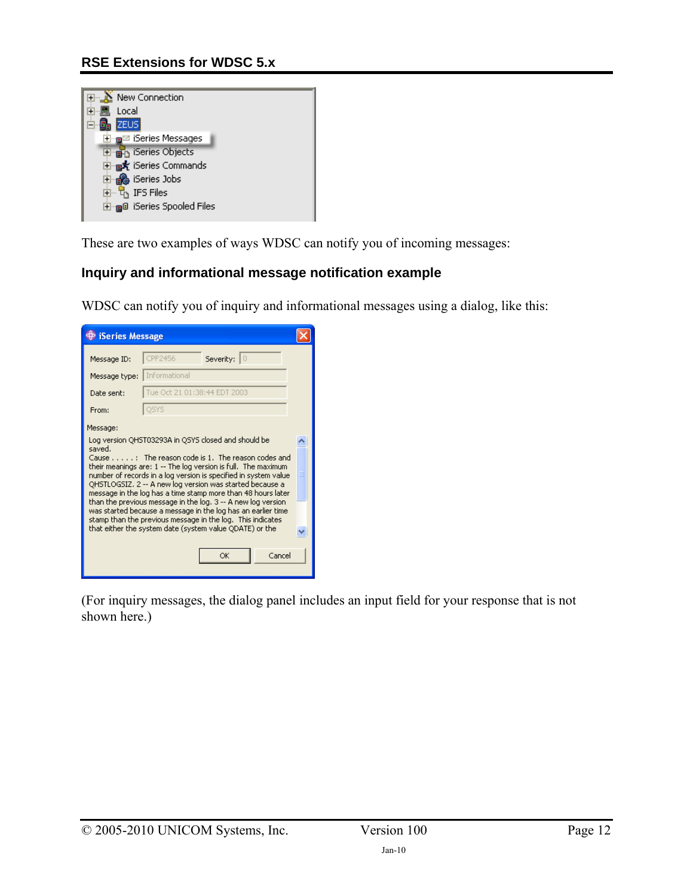#### **RSE Extensions for WDSC 5.x**

| New Connection<br>⊓⊹∆                 |  |
|---------------------------------------|--|
| Local                                 |  |
| <b>ZEUS</b>                           |  |
| ⊞ <sub>™⊟</sub> ⊠ iSeries Messages    |  |
| <b>E</b> <sub>n</sub> iSeries Objects |  |
| 白gk iSeries Commands                  |  |
| 白 A iSeries Jobs                      |  |
| ங் <sup> ப</sup> ோ் IFS Files         |  |
| ⊞ி iSeries Spooled Files              |  |
|                                       |  |

These are two examples of ways WDSC can notify you of incoming messages:

#### <span id="page-11-0"></span>**Inquiry and informational message notification example**

WDSC can notify you of inquiry and informational messages using a dialog, like this:



(For inquiry messages, the dialog panel includes an input field for your response that is not shown here.)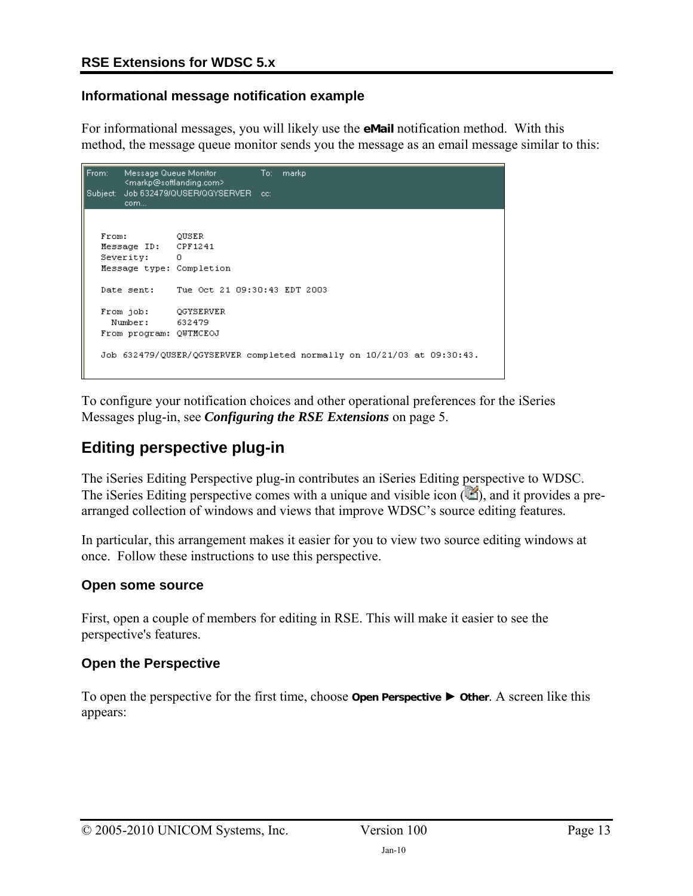#### <span id="page-12-0"></span>**Informational message notification example**

For informational messages, you will likely use the **eMail** notification method. With this method, the message queue monitor sends you the message as an email message similar to this:

```
Message Queue Monitor
From:
                                 To:markp
       <markp@softlanding.com>
Subject: Job 632479/QUSER/QGYSERVER cc:
       com...
  From:
                 OUSER
  Message ID: CPF1241
  Severity:
               \BoxMessage type: Completion
  Date sent: Tue Oct 21 09:30:43 EDT 2003
              QGYSERVER
  From job:
   Number:
                632479
  From program: QUTMCEOJ
  Job 632479/QUSER/QGYSERVER completed normally on 10/21/03 at 09:30:43.
```
To configure your notification choices and other operational preferences for the iSeries Messages plug-in, see *[Configuring the RSE Extensions](#page-4-0)* on page [5.](#page-4-0)

## **Editing perspective plug-in**

The iSeries Editing Perspective plug-in contributes an iSeries Editing perspective to WDSC. The iSeries Editing perspective comes with a unique and visible icon  $(\blacksquare)$ , and it provides a prearranged collection of windows and views that improve WDSC's source editing features.

In particular, this arrangement makes it easier for you to view two source editing windows at once. Follow these instructions to use this perspective.

#### **Open some source**

First, open a couple of members for editing in RSE. This will make it easier to see the perspective's features.

#### **Open the Perspective**

To open the perspective for the first time, choose **Open Perspective** ► **Other**. A screen like this appears: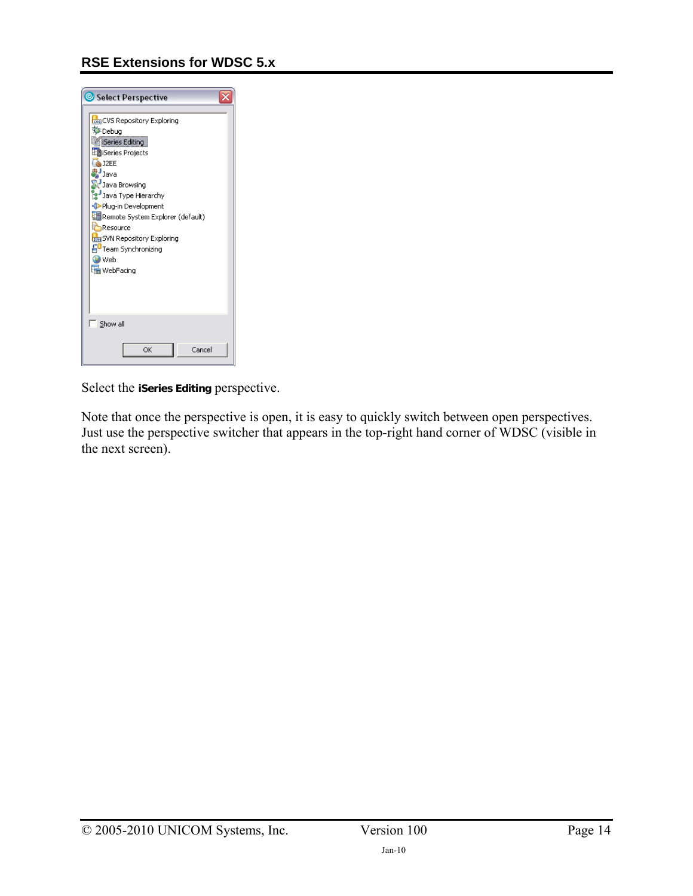

Select the **iSeries Editing** perspective.

Note that once the perspective is open, it is easy to quickly switch between open perspectives. Just use the perspective switcher that appears in the top-right hand corner of WDSC (visible in the next screen).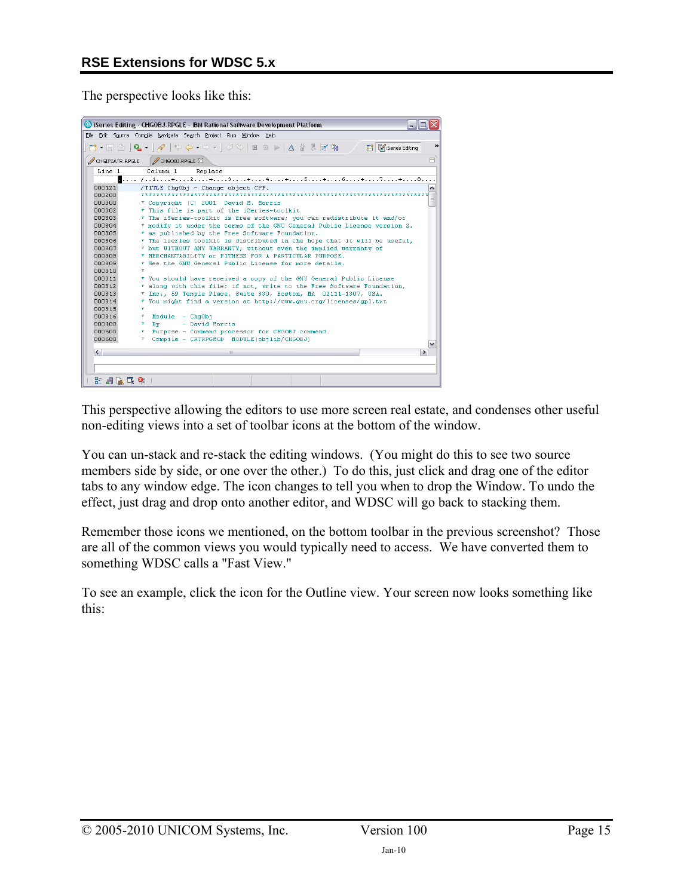The perspective looks like this:



This perspective allowing the editors to use more screen real estate, and condenses other useful non-editing views into a set of toolbar icons at the bottom of the window.

You can un-stack and re-stack the editing windows. (You might do this to see two source members side by side, or one over the other.) To do this, just click and drag one of the editor tabs to any window edge. The icon changes to tell you when to drop the Window. To undo the effect, just drag and drop onto another editor, and WDSC will go back to stacking them.

Remember those icons we mentioned, on the bottom toolbar in the previous screenshot? Those are all of the common views you would typically need to access. We have converted them to something WDSC calls a "Fast View."

To see an example, click the icon for the Outline view. Your screen now looks something like this: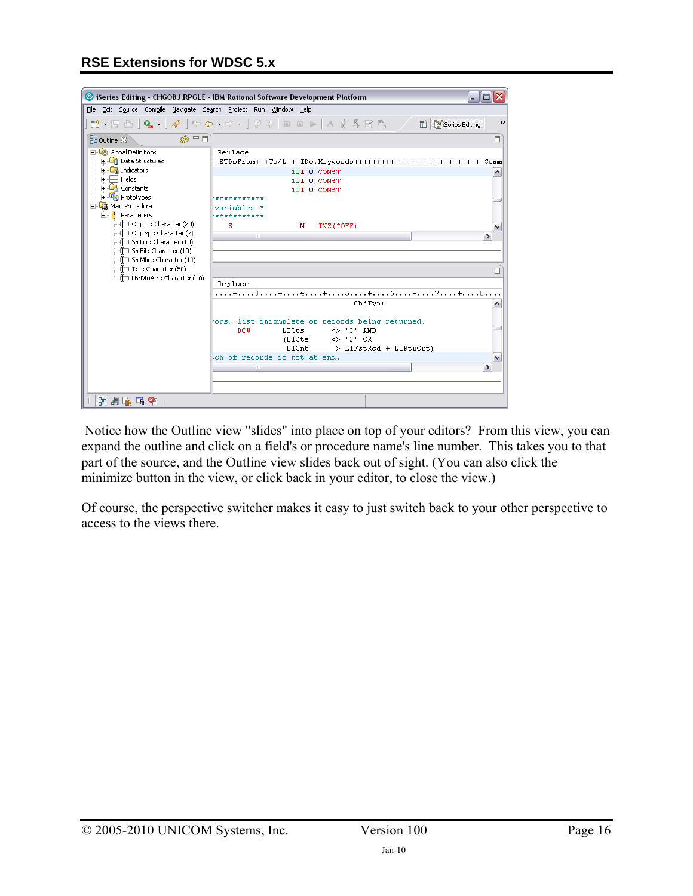|                                                                  | Series Editing - CHGOBJ.RPGLE - IBM Rational Software Development Platform<br>- 10                              |
|------------------------------------------------------------------|-----------------------------------------------------------------------------------------------------------------|
| File Edit Source Compile Navigate Search Project Run Window Help |                                                                                                                 |
|                                                                  | TÎ • E A   Q •   ∥   ↔ ↔ • → •   ∅ ≫   ⊠ ⊠ ▶   ∆ ☆ 界 B R; │ │ E <mark>M</mark> iSeries Editing<br>$\rightarrow$ |
|                                                                  |                                                                                                                 |
| $\circledcirc$ = $\Box$<br>HE Outline 8                          | O                                                                                                               |
| Global Definitions                                               | Replace                                                                                                         |
| <b>En Data Structures</b>                                        | $-FEDsFrom+++To/L+++IDC. Keywords++++++++++++++++++++++++++++Comm$                                              |
| <b>Co</b> Indicators                                             | 10I 0 CONST<br>۸                                                                                                |
| $\overline{\div}$ Fields<br><b>Constants</b>                     | 10I O CONST                                                                                                     |
| <b>The Prototypes</b>                                            | 10I 0 CONST                                                                                                     |
| 白 So Main Procedure                                              | ************                                                                                                    |
| 白 <b>B</b> Parameters                                            | variables<br>***********                                                                                        |
| -∰ ObjLib : Character (20)                                       | s<br>N<br>$INZ$ (*OFF)<br>$\checkmark$                                                                          |
| -□ ObjTyp : Character (7)                                        | III<br>$\rightarrow$                                                                                            |
| -tI SrcLib : Character (10)                                      |                                                                                                                 |
| -{III SrcFil : Character (10)                                    |                                                                                                                 |
| -t□ SrcMbr : Character (10)                                      |                                                                                                                 |
| -Œ Txt : Character (50)<br>UsrDfnAtr : Character (10)            | 目                                                                                                               |
|                                                                  | Replace                                                                                                         |
|                                                                  | : + 3 + 4 + 5 + 6 + 7 + 8                                                                                       |
|                                                                  | ObjTvp)<br>∧                                                                                                    |
|                                                                  |                                                                                                                 |
|                                                                  | fors, list incomplete or records being returned.                                                                |
|                                                                  | <b>DOW</b><br>LISts<br>$\leftrightarrow$ '3' AND<br>$\langle$ > '2' OR<br>(LISts                                |
|                                                                  | LICnt<br>> LIFstRed + LIRtnCnt)                                                                                 |
|                                                                  | ch of records if not at end.<br>$\checkmark$                                                                    |
|                                                                  | $\rightarrow$<br>III                                                                                            |
|                                                                  |                                                                                                                 |
|                                                                  |                                                                                                                 |
| <b>生活応用 9日</b>                                                   |                                                                                                                 |

 Notice how the Outline view "slides" into place on top of your editors? From this view, you can expand the outline and click on a field's or procedure name's line number. This takes you to that part of the source, and the Outline view slides back out of sight. (You can also click the minimize button in the view, or click back in your editor, to close the view.)

Of course, the perspective switcher makes it easy to just switch back to your other perspective to access to the views there.